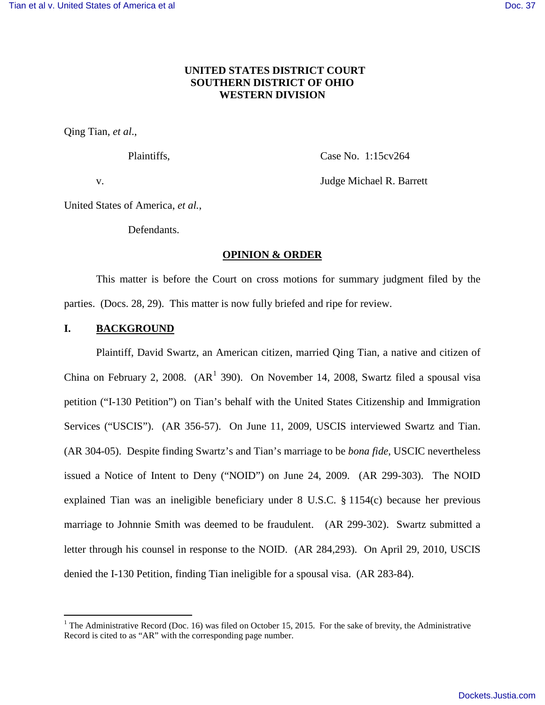## **UNITED STATES DISTRICT COURT SOUTHERN DISTRICT OF OHIO WESTERN DIVISION**

Qing Tian, *et al*.,

Plaintiffs, Case No. 1:15cv264

v. Judge Michael R. Barrett

United States of America, *et al.*,

Defendants.

### **OPINION & ORDER**

This matter is before the Court on cross motions for summary judgment filed by the parties. (Docs. 28, 29). This matter is now fully briefed and ripe for review.

# **I. BACKGROUND**

Plaintiff, David Swartz, an American citizen, married Qing Tian, a native and citizen of China on February 2, 2008. ( $AR<sup>1</sup>$  $AR<sup>1</sup>$  $AR<sup>1</sup>$  390). On November 14, 2008, Swartz filed a spousal visa petition ("I-130 Petition") on Tian's behalf with the United States Citizenship and Immigration Services ("USCIS"). (AR 356-57). On June 11, 2009, USCIS interviewed Swartz and Tian. (AR 304-05). Despite finding Swartz's and Tian's marriage to be *bona fide*, USCIC nevertheless issued a Notice of Intent to Deny ("NOID") on June 24, 2009. (AR 299-303). The NOID explained Tian was an ineligible beneficiary under 8 U.S.C. § 1154(c) because her previous marriage to Johnnie Smith was deemed to be fraudulent. (AR 299-302). Swartz submitted a letter through his counsel in response to the NOID. (AR 284,293). On April 29, 2010, USCIS denied the I-130 Petition, finding Tian ineligible for a spousal visa. (AR 283-84).

<span id="page-0-0"></span><sup>&</sup>lt;sup>1</sup> The Administrative Record (Doc. 16) was filed on October 15, 2015. For the sake of brevity, the Administrative Record is cited to as "AR" with the corresponding page number.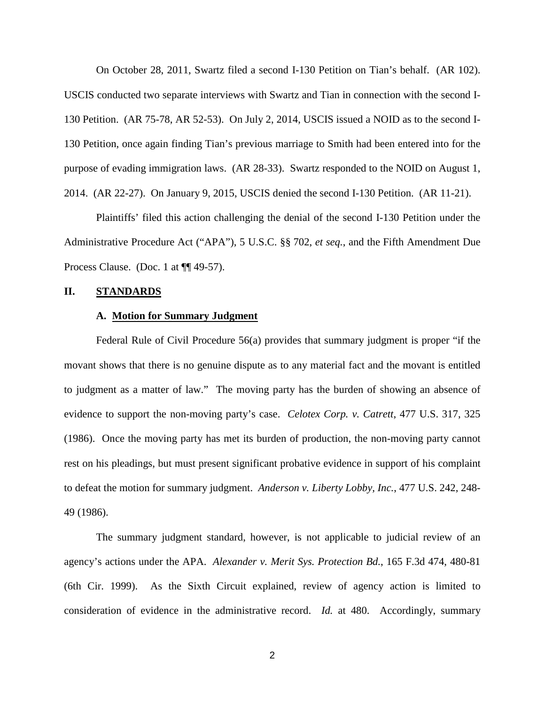On October 28, 2011, Swartz filed a second I-130 Petition on Tian's behalf. (AR 102). USCIS conducted two separate interviews with Swartz and Tian in connection with the second I-130 Petition. (AR 75-78, AR 52-53). On July 2, 2014, USCIS issued a NOID as to the second I-130 Petition, once again finding Tian's previous marriage to Smith had been entered into for the purpose of evading immigration laws. (AR 28-33). Swartz responded to the NOID on August 1, 2014. (AR 22-27). On January 9, 2015, USCIS denied the second I-130 Petition. (AR 11-21).

Plaintiffs' filed this action challenging the denial of the second I-130 Petition under the Administrative Procedure Act ("APA"), 5 U.S.C. §§ 702, *et seq.*, and the Fifth Amendment Due Process Clause. (Doc. 1 at ¶¶ 49-57).

#### **II. STANDARDS**

#### **A. Motion for Summary Judgment**

Federal Rule of Civil Procedure 56(a) provides that summary judgment is proper "if the movant shows that there is no genuine dispute as to any material fact and the movant is entitled to judgment as a matter of law." The moving party has the burden of showing an absence of evidence to support the non-moving party's case. *Celotex Corp. v. Catrett*, 477 U.S. 317, 325 (1986). Once the moving party has met its burden of production, the non-moving party cannot rest on his pleadings, but must present significant probative evidence in support of his complaint to defeat the motion for summary judgment. *Anderson v. Liberty Lobby, Inc.*, 477 U.S. 242, 248- 49 (1986).

The summary judgment standard, however, is not applicable to judicial review of an agency's actions under the APA. *Alexander v. Merit Sys. Protection Bd.*, 165 F.3d 474, 480-81 (6th Cir. 1999). As the Sixth Circuit explained, review of agency action is limited to consideration of evidence in the administrative record. *Id.* at 480. Accordingly, summary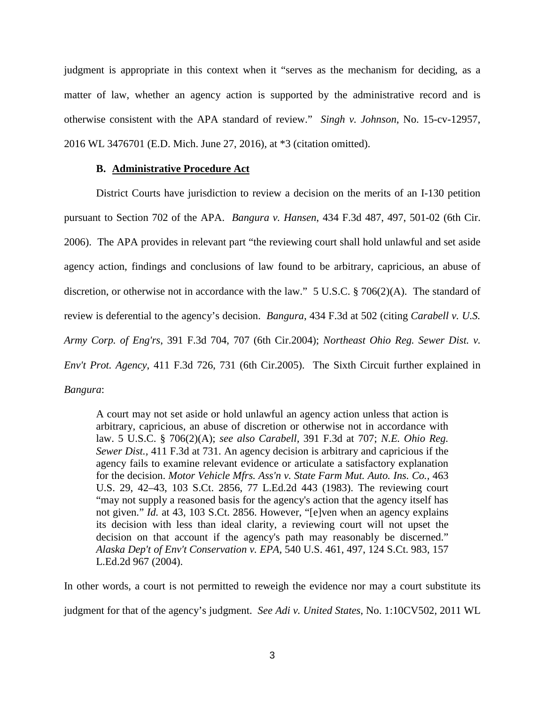judgment is appropriate in this context when it "serves as the mechanism for deciding, as a matter of law, whether an agency action is supported by the administrative record and is otherwise consistent with the APA standard of review." *Singh v. Johnson*, No. 15-cv-12957, 2016 WL 3476701 (E.D. Mich. June 27, 2016), at \*3 (citation omitted).

### **B. Administrative Procedure Act**

District Courts have jurisdiction to review a decision on the merits of an I-130 petition pursuant to Section 702 of the APA. *Bangura v. Hansen*, 434 F.3d 487, 497, 501-02 (6th Cir. 2006). The APA provides in relevant part "the reviewing court shall hold unlawful and set aside agency action, findings and conclusions of law found to be arbitrary, capricious, an abuse of discretion, or otherwise not in accordance with the law." 5 U.S.C. § 706(2)(A). The standard of review is deferential to the agency's decision. *Bangura*, 434 F.3d at 502 (citing *Carabell v. U.S. Army Corp. of Eng'rs*, 391 F.3d 704, 707 (6th Cir.2004); *Northeast Ohio Reg. Sewer Dist. v. Env't Prot. Agency*, 411 F.3d 726, 731 (6th Cir.2005). The Sixth Circuit further explained in *Bangura*:

A court may not set aside or hold unlawful an agency action unless that action is arbitrary, capricious, an abuse of discretion or otherwise not in accordance with law. [5 U.S.C. § 706\(2\)\(A\);](https://1.next.westlaw.com/Link/Document/FullText?findType=L&pubNum=1000546&cite=5USCAS706&originatingDoc=I08dae845883111daa20eccddde63d628&refType=RB&originationContext=document&transitionType=DocumentItem&contextData=(sc.UserEnteredCitation)#co_pp_64eb0000ab9e4) *see also Carabell,* [391 F.3d at 707;](https://1.next.westlaw.com/Link/Document/FullText?findType=Y&serNum=2005632021&pubNum=506&originatingDoc=I08dae845883111daa20eccddde63d628&refType=RP&fi=co_pp_sp_506_707&originationContext=document&transitionType=DocumentItem&contextData=(sc.UserEnteredCitation)#co_pp_sp_506_707) *N[.E. Ohio Reg.](https://1.next.westlaw.com/Link/Document/FullText?findType=Y&serNum=2006804232&pubNum=506&originatingDoc=I08dae845883111daa20eccddde63d628&refType=RP&fi=co_pp_sp_506_731&originationContext=document&transitionType=DocumentItem&contextData=(sc.UserEnteredCitation)#co_pp_sp_506_731)  Sewer Dist.,* [411 F.3d at 731.](https://1.next.westlaw.com/Link/Document/FullText?findType=Y&serNum=2006804232&pubNum=506&originatingDoc=I08dae845883111daa20eccddde63d628&refType=RP&fi=co_pp_sp_506_731&originationContext=document&transitionType=DocumentItem&contextData=(sc.UserEnteredCitation)#co_pp_sp_506_731) An agency decision is arbitrary and capricious if the agency fails to examine relevant evidence or articulate a satisfactory explanation for the decision. *[Motor Vehicle Mfrs. Ass'n v. State Farm Mut. Auto. Ins. Co.,](https://1.next.westlaw.com/Link/Document/FullText?findType=Y&serNum=1983129661&pubNum=708&originatingDoc=I08dae845883111daa20eccddde63d628&refType=RP&originationContext=document&transitionType=DocumentItem&contextData=(sc.UserEnteredCitation))* 463 [U.S. 29, 42–43, 103 S.Ct. 2856, 77 L.Ed.2d 443 \(1983\).](https://1.next.westlaw.com/Link/Document/FullText?findType=Y&serNum=1983129661&pubNum=708&originatingDoc=I08dae845883111daa20eccddde63d628&refType=RP&originationContext=document&transitionType=DocumentItem&contextData=(sc.UserEnteredCitation)) The reviewing court "may not supply a reasoned basis for the agency's action that the agency itself has not given." *Id.* [at 43, 103 S.Ct. 2856.](https://1.next.westlaw.com/Link/Document/FullText?findType=Y&serNum=1983129661&pubNum=708&originatingDoc=I08dae845883111daa20eccddde63d628&refType=RP&originationContext=document&transitionType=DocumentItem&contextData=(sc.UserEnteredCitation)) However, "[e]ven when an agency explains its decision with less than ideal clarity, a reviewing court will not upset the decision on that account if the agency's path may reasonably be discerned." *[Alaska Dep't of Env't Conservation v. EPA,](https://1.next.westlaw.com/Link/Document/FullText?findType=Y&serNum=2004077504&pubNum=708&originatingDoc=I08dae845883111daa20eccddde63d628&refType=RP&originationContext=document&transitionType=DocumentItem&contextData=(sc.UserEnteredCitation))* 540 U.S. 461, 497, 124 S.Ct. 983, 157 [L.Ed.2d 967 \(2004\).](https://1.next.westlaw.com/Link/Document/FullText?findType=Y&serNum=2004077504&pubNum=708&originatingDoc=I08dae845883111daa20eccddde63d628&refType=RP&originationContext=document&transitionType=DocumentItem&contextData=(sc.UserEnteredCitation))

In other words, a court is not permitted to reweigh the evidence nor may a court substitute its judgment for that of the agency's judgment. *See Adi v. United States*, No. 1:10CV502, 2011 WL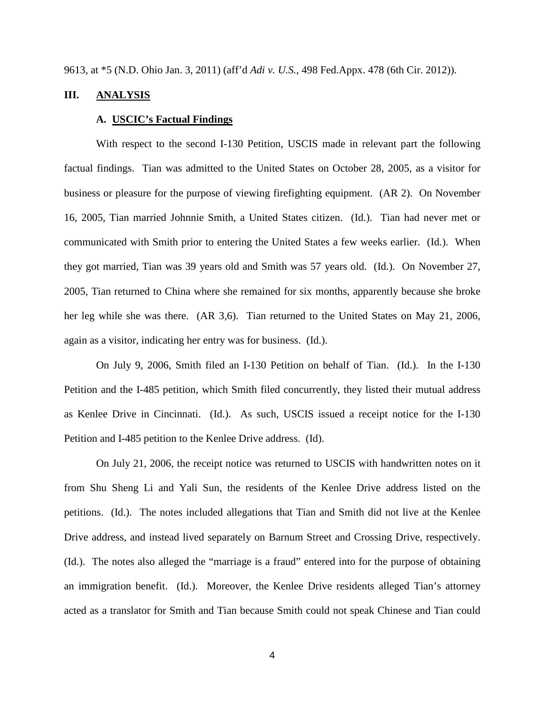9613, at \*5 (N.D. Ohio Jan. 3, 2011) (aff'd *Adi v. U.S.*, 498 Fed.Appx. 478 (6th Cir. 2012)).

### **III. ANALYSIS**

### **A. USCIC's Factual Findings**

With respect to the second I-130 Petition, USCIS made in relevant part the following factual findings. Tian was admitted to the United States on October 28, 2005, as a visitor for business or pleasure for the purpose of viewing firefighting equipment. (AR 2). On November 16, 2005, Tian married Johnnie Smith, a United States citizen. (Id.). Tian had never met or communicated with Smith prior to entering the United States a few weeks earlier. (Id.). When they got married, Tian was 39 years old and Smith was 57 years old. (Id.). On November 27, 2005, Tian returned to China where she remained for six months, apparently because she broke her leg while she was there. (AR 3,6). Tian returned to the United States on May 21, 2006, again as a visitor, indicating her entry was for business. (Id.).

On July 9, 2006, Smith filed an I-130 Petition on behalf of Tian. (Id.). In the I-130 Petition and the I-485 petition, which Smith filed concurrently, they listed their mutual address as Kenlee Drive in Cincinnati. (Id.). As such, USCIS issued a receipt notice for the I-130 Petition and I-485 petition to the Kenlee Drive address. (Id).

On July 21, 2006, the receipt notice was returned to USCIS with handwritten notes on it from Shu Sheng Li and Yali Sun, the residents of the Kenlee Drive address listed on the petitions. (Id.). The notes included allegations that Tian and Smith did not live at the Kenlee Drive address, and instead lived separately on Barnum Street and Crossing Drive, respectively. (Id.). The notes also alleged the "marriage is a fraud" entered into for the purpose of obtaining an immigration benefit. (Id.). Moreover, the Kenlee Drive residents alleged Tian's attorney acted as a translator for Smith and Tian because Smith could not speak Chinese and Tian could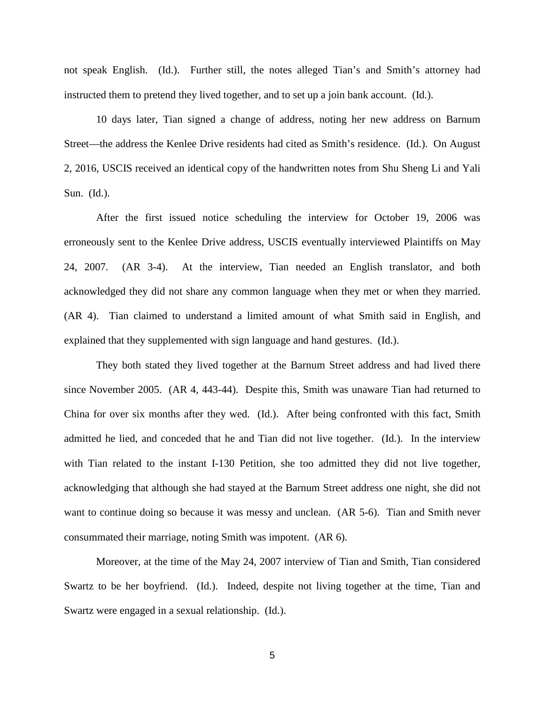not speak English. (Id.). Further still, the notes alleged Tian's and Smith's attorney had instructed them to pretend they lived together, and to set up a join bank account. (Id.).

10 days later, Tian signed a change of address, noting her new address on Barnum Street—the address the Kenlee Drive residents had cited as Smith's residence. (Id.). On August 2, 2016, USCIS received an identical copy of the handwritten notes from Shu Sheng Li and Yali Sun. (Id.).

After the first issued notice scheduling the interview for October 19, 2006 was erroneously sent to the Kenlee Drive address, USCIS eventually interviewed Plaintiffs on May 24, 2007. (AR 3-4). At the interview, Tian needed an English translator, and both acknowledged they did not share any common language when they met or when they married. (AR 4). Tian claimed to understand a limited amount of what Smith said in English, and explained that they supplemented with sign language and hand gestures. (Id.).

They both stated they lived together at the Barnum Street address and had lived there since November 2005. (AR 4, 443-44). Despite this, Smith was unaware Tian had returned to China for over six months after they wed. (Id.). After being confronted with this fact, Smith admitted he lied, and conceded that he and Tian did not live together. (Id.). In the interview with Tian related to the instant I-130 Petition, she too admitted they did not live together, acknowledging that although she had stayed at the Barnum Street address one night, she did not want to continue doing so because it was messy and unclean. (AR 5-6). Tian and Smith never consummated their marriage, noting Smith was impotent. (AR 6).

Moreover, at the time of the May 24, 2007 interview of Tian and Smith, Tian considered Swartz to be her boyfriend. (Id.). Indeed, despite not living together at the time, Tian and Swartz were engaged in a sexual relationship. (Id.).

5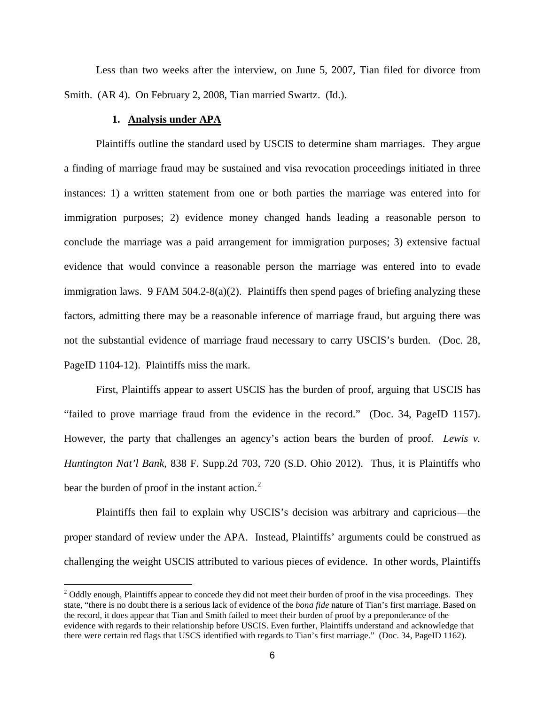Less than two weeks after the interview, on June 5, 2007, Tian filed for divorce from Smith. (AR 4). On February 2, 2008, Tian married Swartz. (Id.).

### **1. Analysis under APA**

<u>.</u>

Plaintiffs outline the standard used by USCIS to determine sham marriages. They argue a finding of marriage fraud may be sustained and visa revocation proceedings initiated in three instances: 1) a written statement from one or both parties the marriage was entered into for immigration purposes; 2) evidence money changed hands leading a reasonable person to conclude the marriage was a paid arrangement for immigration purposes; 3) extensive factual evidence that would convince a reasonable person the marriage was entered into to evade immigration laws. 9 FAM  $504.2-8(a)(2)$ . Plaintiffs then spend pages of briefing analyzing these factors, admitting there may be a reasonable inference of marriage fraud, but arguing there was not the substantial evidence of marriage fraud necessary to carry USCIS's burden. (Doc. 28, PageID 1104-12). Plaintiffs miss the mark.

First, Plaintiffs appear to assert USCIS has the burden of proof, arguing that USCIS has "failed to prove marriage fraud from the evidence in the record." (Doc. 34, PageID 1157). However, the party that challenges an agency's action bears the burden of proof. *Lewis v. Huntington Nat'l Bank*, 838 F. Supp.2d 703, 720 (S.D. Ohio 2012). Thus, it is Plaintiffs who bear the burden of proof in the instant action. $<sup>2</sup>$  $<sup>2</sup>$  $<sup>2</sup>$ </sup>

Plaintiffs then fail to explain why USCIS's decision was arbitrary and capricious—the proper standard of review under the APA. Instead, Plaintiffs' arguments could be construed as challenging the weight USCIS attributed to various pieces of evidence. In other words, Plaintiffs

<span id="page-5-0"></span> $2$  Oddly enough, Plaintiffs appear to concede they did not meet their burden of proof in the visa proceedings. They state, "there is no doubt there is a serious lack of evidence of the *bona fide* nature of Tian's first marriage. Based on the record, it does appear that Tian and Smith failed to meet their burden of proof by a preponderance of the evidence with regards to their relationship before USCIS. Even further, Plaintiffs understand and acknowledge that there were certain red flags that USCS identified with regards to Tian's first marriage." (Doc. 34, PageID 1162).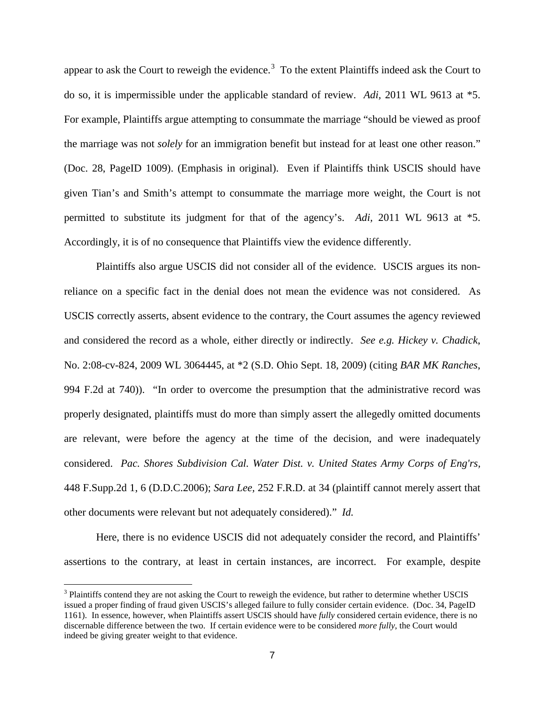appear to ask the Court to reweigh the evidence.<sup>[3](#page-6-0)</sup> To the extent Plaintiffs indeed ask the Court to do so, it is impermissible under the applicable standard of review. *Adi,* 2011 WL 9613 at \*5. For example, Plaintiffs argue attempting to consummate the marriage "should be viewed as proof the marriage was not *solely* for an immigration benefit but instead for at least one other reason." (Doc. 28, PageID 1009). (Emphasis in original). Even if Plaintiffs think USCIS should have given Tian's and Smith's attempt to consummate the marriage more weight, the Court is not permitted to substitute its judgment for that of the agency's. *Adi,* 2011 WL 9613 at \*5. Accordingly, it is of no consequence that Plaintiffs view the evidence differently.

Plaintiffs also argue USCIS did not consider all of the evidence. USCIS argues its nonreliance on a specific fact in the denial does not mean the evidence was not considered. As USCIS correctly asserts, absent evidence to the contrary, the Court assumes the agency reviewed and considered the record as a whole, either directly or indirectly. *See e.g. Hickey v. Chadick*, No. 2:08-cv-824, 2009 WL 3064445, at \*2 (S.D. Ohio Sept. 18, 2009) (citing *BAR MK Ranches*, 994 F.2d at 740)). "In order to overcome the presumption that the administrative record was properly designated, plaintiffs must do more than simply assert the allegedly omitted documents are relevant, were before the agency at the time of the decision, and were inadequately considered. *[Pac. Shores Subdivision Cal. Water Dist. v. United States Army Corps of Eng'rs,](https://1.next.westlaw.com/Link/Document/FullText?findType=Y&serNum=2009696040&pubNum=0004637&originatingDoc=I11a48cdfac3e11dea82ab9f4ee295c21&refType=RP&fi=co_pp_sp_4637_6&originationContext=document&transitionType=DocumentItem&contextData=(sc.UserEnteredCitation)#co_pp_sp_4637_6)* [448 F.Supp.2d 1, 6 \(D.D.C.2006\);](https://1.next.westlaw.com/Link/Document/FullText?findType=Y&serNum=2009696040&pubNum=0004637&originatingDoc=I11a48cdfac3e11dea82ab9f4ee295c21&refType=RP&fi=co_pp_sp_4637_6&originationContext=document&transitionType=DocumentItem&contextData=(sc.UserEnteredCitation)#co_pp_sp_4637_6) *Sara Lee,* [252 F.R.D. at 34](https://1.next.westlaw.com/Link/Document/FullText?findType=Y&serNum=2016847505&pubNum=0000344&originatingDoc=I11a48cdfac3e11dea82ab9f4ee295c21&refType=RP&fi=co_pp_sp_344_34&originationContext=document&transitionType=DocumentItem&contextData=(sc.UserEnteredCitation)#co_pp_sp_344_34) (plaintiff cannot merely assert that other documents were relevant but not adequately considered)." *Id.*

Here, there is no evidence USCIS did not adequately consider the record, and Plaintiffs' assertions to the contrary, at least in certain instances, are incorrect. For example, despite

 $\overline{a}$ 

<span id="page-6-0"></span><sup>&</sup>lt;sup>3</sup> Plaintiffs contend they are not asking the Court to reweigh the evidence, but rather to determine whether USCIS issued a proper finding of fraud given USCIS's alleged failure to fully consider certain evidence. (Doc. 34, PageID 1161). In essence, however, when Plaintiffs assert USCIS should have *fully* considered certain evidence, there is no discernable difference between the two. If certain evidence were to be considered *more fully*, the Court would indeed be giving greater weight to that evidence.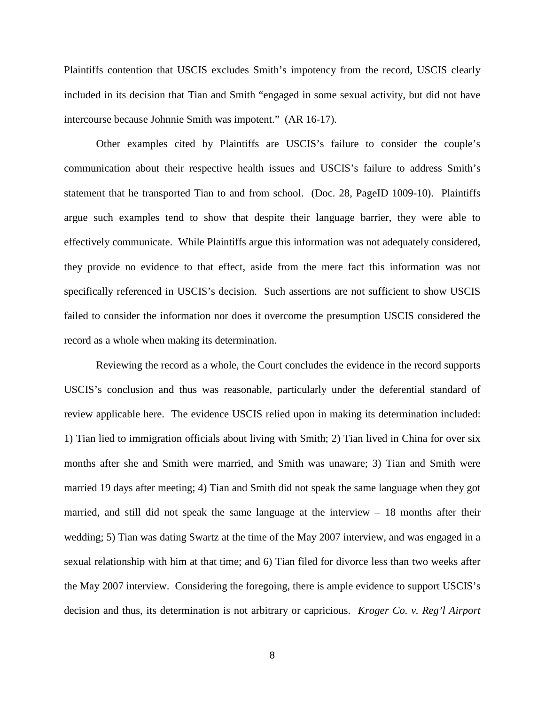Plaintiffs contention that USCIS excludes Smith's impotency from the record, USCIS clearly included in its decision that Tian and Smith "engaged in some sexual activity, but did not have intercourse because Johnnie Smith was impotent." (AR 16-17).

Other examples cited by Plaintiffs are USCIS's failure to consider the couple's communication about their respective health issues and USCIS's failure to address Smith's statement that he transported Tian to and from school. (Doc. 28, PageID 1009-10). Plaintiffs argue such examples tend to show that despite their language barrier, they were able to effectively communicate. While Plaintiffs argue this information was not adequately considered, they provide no evidence to that effect, aside from the mere fact this information was not specifically referenced in USCIS's decision. Such assertions are not sufficient to show USCIS failed to consider the information nor does it overcome the presumption USCIS considered the record as a whole when making its determination.

Reviewing the record as a whole, the Court concludes the evidence in the record supports USCIS's conclusion and thus was reasonable, particularly under the deferential standard of review applicable here. The evidence USCIS relied upon in making its determination included: 1) Tian lied to immigration officials about living with Smith; 2) Tian lived in China for over six months after she and Smith were married, and Smith was unaware; 3) Tian and Smith were married 19 days after meeting; 4) Tian and Smith did not speak the same language when they got married, and still did not speak the same language at the interview – 18 months after their wedding; 5) Tian was dating Swartz at the time of the May 2007 interview, and was engaged in a sexual relationship with him at that time; and 6) Tian filed for divorce less than two weeks after the May 2007 interview. Considering the foregoing, there is ample evidence to support USCIS's decision and thus, its determination is not arbitrary or capricious. *Kroger Co. v. Reg'l Airport*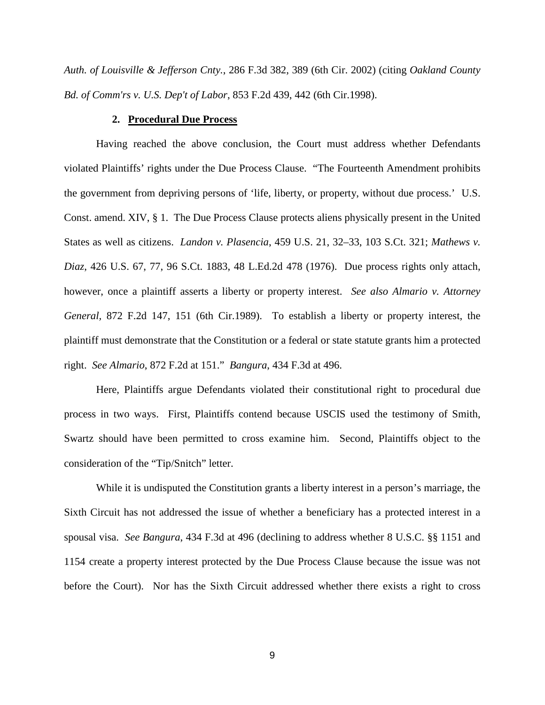*Auth. of Louisville & Jefferson Cnty.*, 286 F.3d 382, 389 (6th Cir. 2002) (citing *Oakland County Bd. of Comm'rs v. U.S. Dep't of Labor*, 853 F.2d 439, 442 (6th Cir.1998).

### **2. Procedural Due Process**

Having reached the above conclusion, the Court must address whether Defendants violated Plaintiffs' rights under the Due Process Clause. "The Fourteenth Amendment prohibits the government from depriving persons of 'life, liberty, or property, without due process.' U.S. Const. amend. XIV, § 1. The Due Process Clause protects aliens physically present in the United States as well as citizens. *Landon v. Plasencia*, 459 U.S. 21, 32–33, 103 S.Ct. 321; *Mathews v. Diaz*, 426 U.S. 67, 77, 96 S.Ct. 1883, 48 L.Ed.2d 478 (1976). Due process rights only attach, however, once a plaintiff asserts a liberty or property interest. *See also [Almario v. Attorney](https://1.next.westlaw.com/Link/Document/FullText?findType=Y&serNum=1989051057&pubNum=350&originatingDoc=I08dae845883111daa20eccddde63d628&refType=RP&fi=co_pp_sp_350_152&originationContext=document&transitionType=DocumentItem&contextData=(sc.Search)#co_pp_sp_350_152)  General,* [872 F.2d 147, 151 \(6th Cir.1989\).](https://1.next.westlaw.com/Link/Document/FullText?findType=Y&serNum=1989051057&pubNum=350&originatingDoc=I08dae845883111daa20eccddde63d628&refType=RP&fi=co_pp_sp_350_152&originationContext=document&transitionType=DocumentItem&contextData=(sc.Search)#co_pp_sp_350_152) To establish a liberty or property interest, the plaintiff must demonstrate that the Constitution or a federal or state statute grants him a protected right. *See Almario*, 872 F.2d at 151." *Bangura*, 434 F.3d at 496.

Here, Plaintiffs argue Defendants violated their constitutional right to procedural due process in two ways. First, Plaintiffs contend because USCIS used the testimony of Smith, Swartz should have been permitted to cross examine him. Second, Plaintiffs object to the consideration of the "Tip/Snitch" letter.

While it is undisputed the Constitution grants a liberty interest in a person's marriage, the Sixth Circuit has not addressed the issue of whether a beneficiary has a protected interest in a spousal visa. *See Bangura*, 434 F.3d at 496 (declining to address whether 8 U.S.C. §§ 1151 and 1154 create a property interest protected by the Due Process Clause because the issue was not before the Court). Nor has the Sixth Circuit addressed whether there exists a right to cross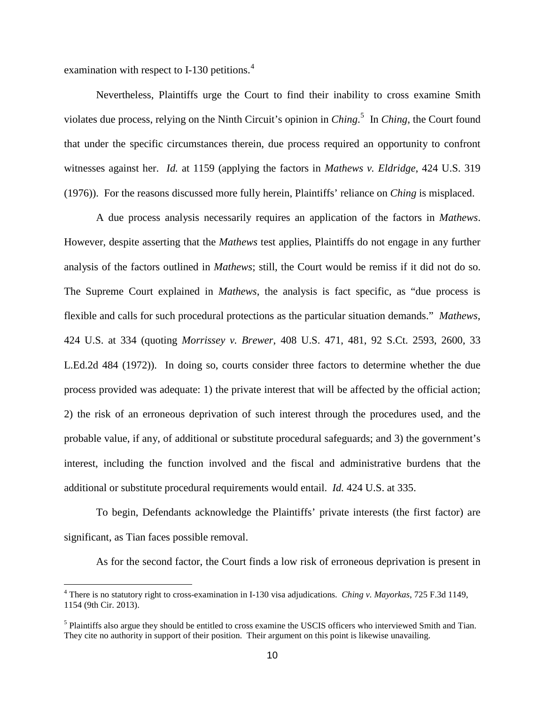examination with respect to I-130 petitions. $4$ 

 $\overline{a}$ 

Nevertheless, Plaintiffs urge the Court to find their inability to cross examine Smith violates due process, relying on the Ninth Circuit's opinion in *Ching*. [5](#page-9-1) In *Ching*, the Court found that under the specific circumstances therein, due process required an opportunity to confront witnesses against her. *Id.* at 1159 (applying the factors in *Mathews v. Eldridge*, 424 U.S. 319 (1976)). For the reasons discussed more fully herein, Plaintiffs' reliance on *Ching* is misplaced.

A due process analysis necessarily requires an application of the factors in *Mathews*. However, despite asserting that the *Mathews* test applies, Plaintiffs do not engage in any further analysis of the factors outlined in *Mathews*; still, the Court would be remiss if it did not do so. The Supreme Court explained in *Mathews*, the analysis is fact specific, as "due process is flexible and calls for such procedural protections as the particular situation demands." *Mathews*, 424 U.S. at 334 (quoting *Morrissey v. Brewer*, 408 U.S. 471, 481, 92 S.Ct. 2593, 2600, 33 L.Ed.2d 484 (1972)). In doing so, courts consider three factors to determine whether the due process provided was adequate: 1) the private interest that will be affected by the official action; 2) the risk of an erroneous deprivation of such interest through the procedures used, and the probable value, if any, of additional or substitute procedural safeguards; and 3) the government's interest, including the function involved and the fiscal and administrative burdens that the additional or substitute procedural requirements would entail. *Id.* 424 U.S. at 335.

To begin, Defendants acknowledge the Plaintiffs' private interests (the first factor) are significant, as Tian faces possible removal.

As for the second factor, the Court finds a low risk of erroneous deprivation is present in

<span id="page-9-0"></span><sup>4</sup> There is no statutory right to cross-examination in I-130 visa adjudications. *Ching v. Mayorkas*, 725 F.3d 1149, 1154 (9th Cir. 2013).

<span id="page-9-1"></span><sup>&</sup>lt;sup>5</sup> Plaintiffs also argue they should be entitled to cross examine the USCIS officers who interviewed Smith and Tian. They cite no authority in support of their position. Their argument on this point is likewise unavailing.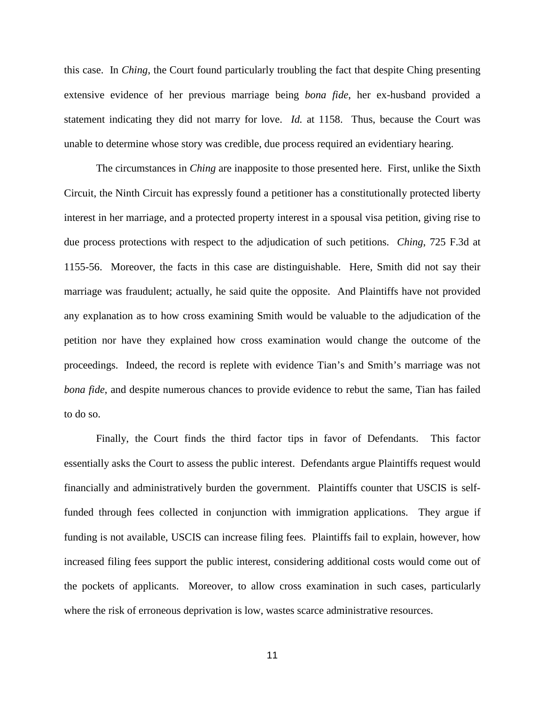this case. In *Ching*, the Court found particularly troubling the fact that despite Ching presenting extensive evidence of her previous marriage being *bona fide*, her ex-husband provided a statement indicating they did not marry for love. *Id.* at 1158. Thus, because the Court was unable to determine whose story was credible, due process required an evidentiary hearing.

The circumstances in *Ching* are inapposite to those presented here. First, unlike the Sixth Circuit, the Ninth Circuit has expressly found a petitioner has a constitutionally protected liberty interest in her marriage, and a protected property interest in a spousal visa petition, giving rise to due process protections with respect to the adjudication of such petitions. *Ching*, 725 F.3d at 1155-56. Moreover, the facts in this case are distinguishable. Here, Smith did not say their marriage was fraudulent; actually, he said quite the opposite. And Plaintiffs have not provided any explanation as to how cross examining Smith would be valuable to the adjudication of the petition nor have they explained how cross examination would change the outcome of the proceedings. Indeed, the record is replete with evidence Tian's and Smith's marriage was not *bona fide*, and despite numerous chances to provide evidence to rebut the same, Tian has failed to do so.

Finally, the Court finds the third factor tips in favor of Defendants. This factor essentially asks the Court to assess the public interest. Defendants argue Plaintiffs request would financially and administratively burden the government. Plaintiffs counter that USCIS is selffunded through fees collected in conjunction with immigration applications. They argue if funding is not available, USCIS can increase filing fees. Plaintiffs fail to explain, however, how increased filing fees support the public interest, considering additional costs would come out of the pockets of applicants. Moreover, to allow cross examination in such cases, particularly where the risk of erroneous deprivation is low, wastes scarce administrative resources.